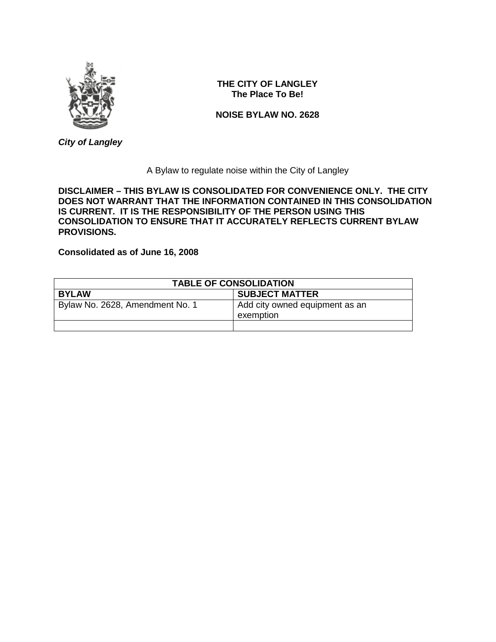

*City of Langley*

# **THE CITY OF LANGLEY The Place To Be!**

**NOISE BYLAW NO. 2628**

A Bylaw to regulate noise within the City of Langley

**DISCLAIMER – THIS BYLAW IS CONSOLIDATED FOR CONVENIENCE ONLY. THE CITY DOES NOT WARRANT THAT THE INFORMATION CONTAINED IN THIS CONSOLIDATION IS CURRENT. IT IS THE RESPONSIBILITY OF THE PERSON USING THIS CONSOLIDATION TO ENSURE THAT IT ACCURATELY REFLECTS CURRENT BYLAW PROVISIONS.**

**Consolidated as of June 16, 2008**

| <b>TABLE OF CONSOLIDATION</b>   |                                             |
|---------------------------------|---------------------------------------------|
| <b>BYLAW</b>                    | <b>SUBJECT MATTER</b>                       |
| Bylaw No. 2628, Amendment No. 1 | Add city owned equipment as an<br>exemption |
|                                 |                                             |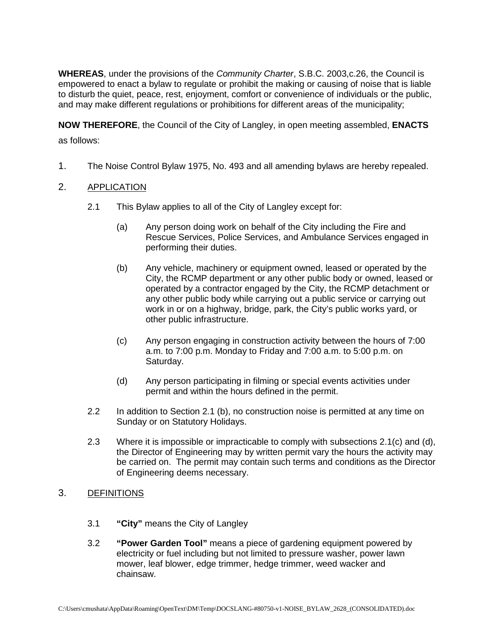**WHEREAS**, under the provisions of the *Community Charter*, S.B.C. 2003,c.26, the Council is empowered to enact a bylaw to regulate or prohibit the making or causing of noise that is liable to disturb the quiet, peace, rest, enjoyment, comfort or convenience of individuals or the public, and may make different regulations or prohibitions for different areas of the municipality;

**NOW THEREFORE**, the Council of the City of Langley, in open meeting assembled, **ENACTS** as follows:

1. The Noise Control Bylaw 1975, No. 493 and all amending bylaws are hereby repealed.

## 2. APPLICATION

- 2.1 This Bylaw applies to all of the City of Langley except for:
	- (a) Any person doing work on behalf of the City including the Fire and Rescue Services, Police Services, and Ambulance Services engaged in performing their duties.
	- (b) Any vehicle, machinery or equipment owned, leased or operated by the City, the RCMP department or any other public body or owned, leased or operated by a contractor engaged by the City, the RCMP detachment or any other public body while carrying out a public service or carrying out work in or on a highway, bridge, park, the City's public works yard, or other public infrastructure.
	- (c) Any person engaging in construction activity between the hours of 7:00 a.m. to 7:00 p.m. Monday to Friday and 7:00 a.m. to 5:00 p.m. on Saturday.
	- (d) Any person participating in filming or special events activities under permit and within the hours defined in the permit.
- 2.2 In addition to Section 2.1 (b), no construction noise is permitted at any time on Sunday or on Statutory Holidays.
- 2.3 Where it is impossible or impracticable to comply with subsections 2.1(c) and (d), the Director of Engineering may by written permit vary the hours the activity may be carried on. The permit may contain such terms and conditions as the Director of Engineering deems necessary.

### 3. DEFINITIONS

- 3.1 **"City"** means the City of Langley
- 3.2 **"Power Garden Tool"** means a piece of gardening equipment powered by electricity or fuel including but not limited to pressure washer, power lawn mower, leaf blower, edge trimmer, hedge trimmer, weed wacker and chainsaw.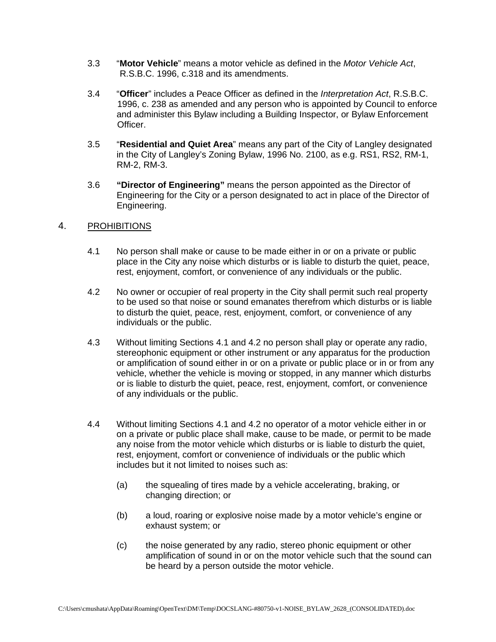- 3.3 "**Motor Vehicle**" means a motor vehicle as defined in the *Motor Vehicle Act*, R.S.B.C. 1996, c.318 and its amendments.
- 3.4 "**Officer**" includes a Peace Officer as defined in the *Interpretation Act*, R.S.B.C. 1996, c. 238 as amended and any person who is appointed by Council to enforce and administer this Bylaw including a Building Inspector, or Bylaw Enforcement Officer.
- 3.5 "**Residential and Quiet Area**" means any part of the City of Langley designated in the City of Langley's Zoning Bylaw, 1996 No. 2100, as e.g. RS1, RS2, RM-1, RM-2, RM-3.
- 3.6 **"Director of Engineering"** means the person appointed as the Director of Engineering for the City or a person designated to act in place of the Director of Engineering.

### 4. PROHIBITIONS

- 4.1 No person shall make or cause to be made either in or on a private or public place in the City any noise which disturbs or is liable to disturb the quiet, peace, rest, enjoyment, comfort, or convenience of any individuals or the public.
- 4.2 No owner or occupier of real property in the City shall permit such real property to be used so that noise or sound emanates therefrom which disturbs or is liable to disturb the quiet, peace, rest, enjoyment, comfort, or convenience of any individuals or the public.
- 4.3 Without limiting Sections 4.1 and 4.2 no person shall play or operate any radio, stereophonic equipment or other instrument or any apparatus for the production or amplification of sound either in or on a private or public place or in or from any vehicle, whether the vehicle is moving or stopped, in any manner which disturbs or is liable to disturb the quiet, peace, rest, enjoyment, comfort, or convenience of any individuals or the public.
- 4.4 Without limiting Sections 4.1 and 4.2 no operator of a motor vehicle either in or on a private or public place shall make, cause to be made, or permit to be made any noise from the motor vehicle which disturbs or is liable to disturb the quiet, rest, enjoyment, comfort or convenience of individuals or the public which includes but it not limited to noises such as:
	- (a) the squealing of tires made by a vehicle accelerating, braking, or changing direction; or
	- (b) a loud, roaring or explosive noise made by a motor vehicle's engine or exhaust system; or
	- (c) the noise generated by any radio, stereo phonic equipment or other amplification of sound in or on the motor vehicle such that the sound can be heard by a person outside the motor vehicle.